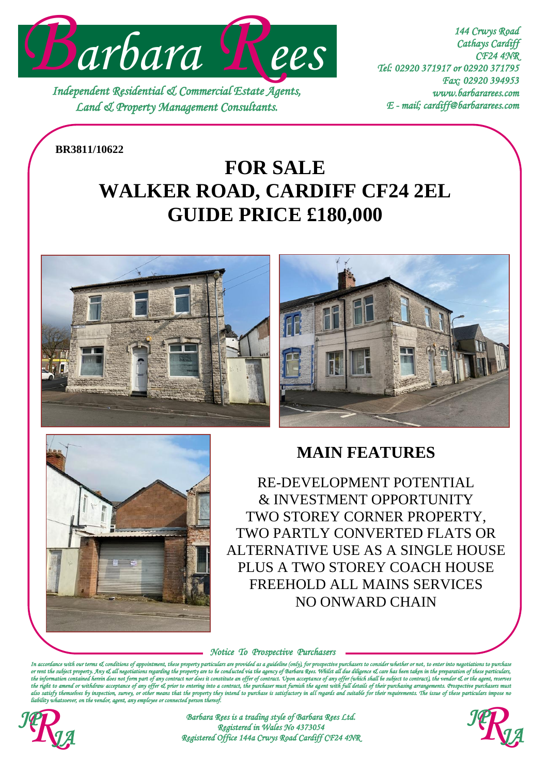

*Independent Residential & Commercial Estate Agents, Land & Property Management Consultants.* 

*144 Crwys Road Cathays Cardiff CF24 4NR Tel: 02920 371917 or 02920 371795 Fax: 02920 394953 www.barbararees.com E - mail; cardiff@barbararees.com* 

**BR3811/10622**

# **WALKER ROAD, CARDIFF CF24 2EL FOR SALE GUIDE PRICE £180,000**







# **MAIN FEATURES**

RE-DEVELOPMENT POTENTIAL & INVESTMENT OPPORTUNITY TWO STOREY CORNER PROPERTY, TWO PARTLY CONVERTED FLATS OR ALTERNATIVE USE AS A SINGLE HOUSE PLUS A TWO STOREY COACH HOUSE FREEHOLD ALL MAINS SERVICES NO ONWARD CHAIN

*Notice To Prospective Purchasers* 

*In accordance with our terms & conditions of appointment, these property particulars are provided as a guideline (only), for prospective purchasers to consider whether or not, to enter into negotiations to purchase or rent the subject property. Any & all negotiations regarding the property are to be conducted via the agency of Barbara Rees. Whilst all due diligence & care has been taken in the preparation of these particulars,*  the formation contained and the information of a state of any offer (which shall be subject to contract), the vendor & or the ag<br>enterina into a contract, the purchaser must furnish the aaent with full details of their pur ce of any offer cI prior to entering into a contract, the purchaser must furnish the agent with full details of their purchasing arrangements. Pro<br>vey, or other means that the property they intend to purchase is satisfacto also satisfy themselves by inspection, survey, or other means that the property they intend to purchase is satisfactory in all regards and suitable for their requirements. The issue of these particulars impose no<br>liability



*Barbara Rees is a trading style of Barbara Rees Ltd. Registered in Wales No 4373054*<br>*Barbara Rees is a trading style of Barbara Rees Ltd.*<br>Registered in Wales No 4373054<br>Registered Office 144a Crwys Road Cardiff CF24 4NR

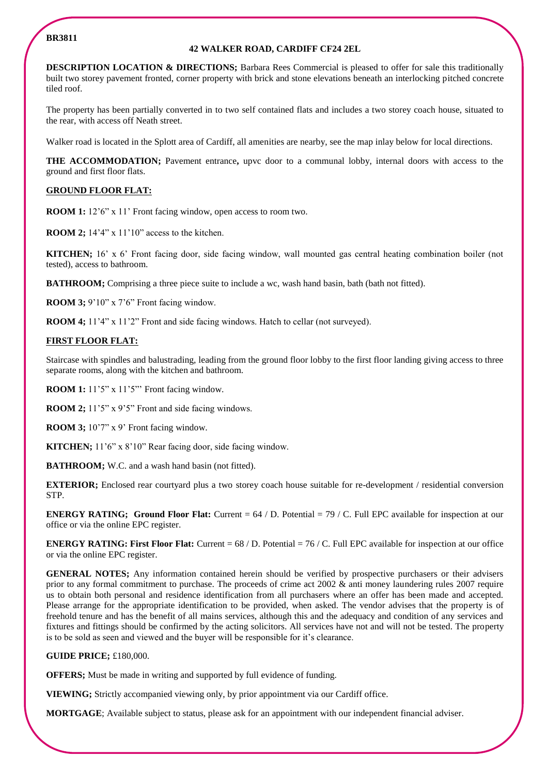### **BR3811**

#### **42 WALKER ROAD, CARDIFF CF24 2EL**

**DESCRIPTION LOCATION & DIRECTIONS:** Barbara Rees Commercial is pleased to offer for sale this traditionally built two storey pavement fronted, corner property with brick and stone elevations beneath an interlocking pitched concrete tiled roof.

The property has been partially converted in to two self contained flats and includes a two storey coach house, situated to the rear, with access off Neath street.

Walker road is located in the Splott area of Cardiff, all amenities are nearby, see the map inlay below for local directions.

**THE ACCOMMODATION;** Pavement entrance**,** upvc door to a communal lobby, internal doors with access to the ground and first floor flats.

## **GROUND FLOOR FLAT:**

**ROOM 1:** 12'6" x 11' Front facing window, open access to room two.

**ROOM 2;** 14'4" x 11'10" access to the kitchen.

**KITCHEN;** 16' x 6' Front facing door, side facing window, wall mounted gas central heating combination boiler (not tested), access to bathroom.

**BATHROOM;** Comprising a three piece suite to include a wc, wash hand basin, bath (bath not fitted).

**ROOM 3;** 9'10" x 7'6" Front facing window.

**ROOM 4;** 11'4" x 11'2" Front and side facing windows. Hatch to cellar (not surveyed).

# **FIRST FLOOR FLAT:**

Staircase with spindles and balustrading, leading from the ground floor lobby to the first floor landing giving access to three separate rooms, along with the kitchen and bathroom.

**ROOM 1:** 11'5" x 11'5" Front facing window.

**ROOM 2;** 11'5" x 9'5" Front and side facing windows.

**ROOM 3;** 10'7" x 9' Front facing window.

**KITCHEN;** 11'6" x 8'10" Rear facing door, side facing window.

**BATHROOM;** W.C. and a wash hand basin (not fitted).

**EXTERIOR;** Enclosed rear courtyard plus a two storey coach house suitable for re-development / residential conversion STP.

**ENERGY RATING; Ground Floor Flat:** Current = 64 / D. Potential = 79 / C. Full EPC available for inspection at our office or via the online EPC register.

**ENERGY RATING: First Floor Flat:** Current = 68 / D. Potential = 76 / C. Full EPC available for inspection at our office or via the online EPC register.

**GENERAL NOTES;** Any information contained herein should be verified by prospective purchasers or their advisers prior to any formal commitment to purchase. The proceeds of crime act 2002 & anti money laundering rules 2007 require us to obtain both personal and residence identification from all purchasers where an offer has been made and accepted. Please arrange for the appropriate identification to be provided, when asked. The vendor advises that the property is of freehold tenure and has the benefit of all mains services, although this and the adequacy and condition of any services and fixtures and fittings should be confirmed by the acting solicitors. All services have not and will not be tested. The property is to be sold as seen and viewed and the buyer will be responsible for it's clearance.

#### **GUIDE PRICE;** £180,000.

**OFFERS;** Must be made in writing and supported by full evidence of funding.

**VIEWING;** Strictly accompanied viewing only, by prior appointment via our Cardiff office.

**MORTGAGE**; Available subject to status, please ask for an appointment with our independent financial adviser.